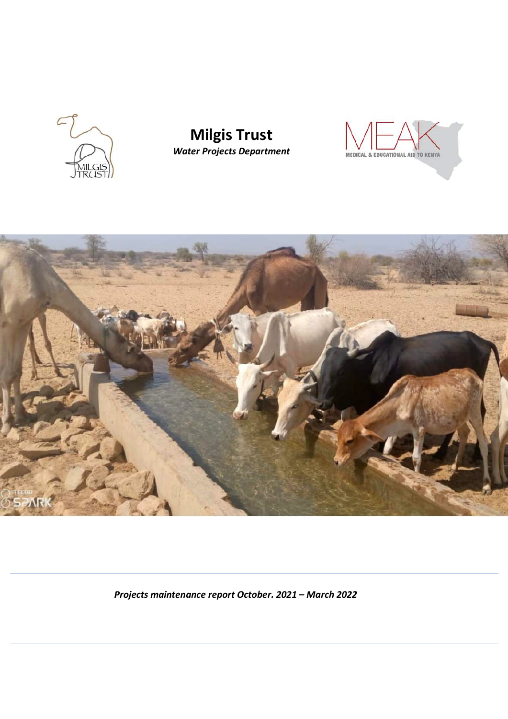

# **Milgis Trust** *Water Projects Department*





*Projects maintenance report October. 2021 – March 2022*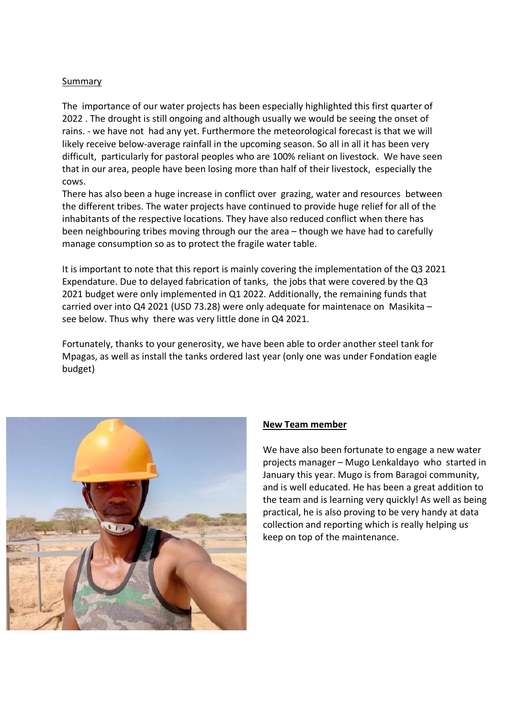### Summary

The importance of our water projects has been especially highlighted this first quarter of 2022 . The drought is still ongoing and although usually we would be seeing the onset of rains. - we have not had any yet. Furthermore the meteorological forecast is that we will likely receive below-average rainfall in the upcoming season. So all in all it has been very difficult, particularly for pastoral peoples who are 100% reliant on livestock. We have seen that in our area, people have been losing more than half of their livestock, especially the cows.

There has also been a huge increase in conflict over grazing, water and resources between the different tribes. The water projects have continued to provide huge relief for all of the inhabitants of the respective locations. They have also reduced conflict when there has been neighbouring tribes moving through our the area – though we have had to carefully manage consumption so as to protect the fragile water table.

It is important to note that this report is mainly covering the implementation of the Q3 2021 Expendature. Due to delayed fabrication of tanks, the jobs that were covered by the Q3 2021 budget were only implemented in Q1 2022. Additionally, the remaining funds that carried over into Q4 2021 (USD 73.28) were only adequate for maintenace on Masikita – see below. Thus why there was very little done in Q4 2021.

Fortunately, thanks to your generosity, we have been able to order another steel tank for Mpagas, as well as install the tanks ordered last year (only one was under Fondation eagle budget)



## **New Team member**

We have also been fortunate to engage a new water projects manager – Mugo Lenkaldayo who started in January this year. Mugo is from Baragoi community, and is well educated. He has been a great addition to the team and is learning very quickly! As well as being practical, he is also proving to be very handy at data collection and reporting which is really helping us keep on top of the maintenance.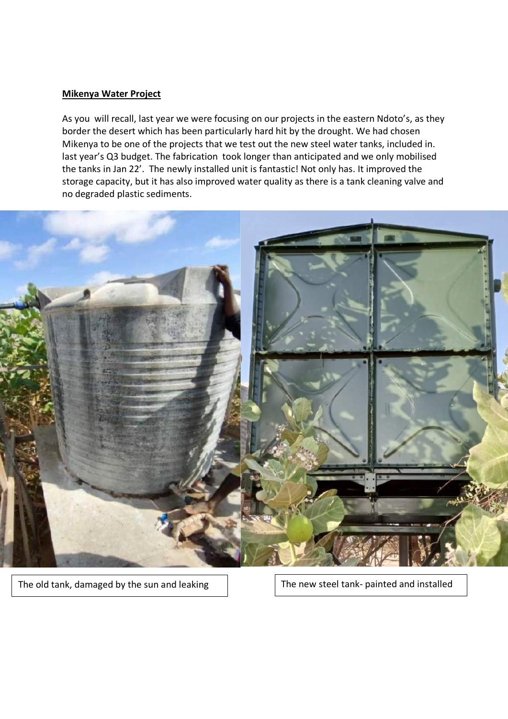#### **Mikenya Water Project**

As you will recall, last year we were focusing on our projects in the eastern Ndoto's, as they border the desert which has been particularly hard hit by the drought. We had chosen Mikenya to be one of the projects that we test out the new steel water tanks, included in. last year's Q3 budget. The fabrication took longer than anticipated and we only mobilised the tanks in Jan 22'. The newly installed unit is fantastic! Not only has. It improved the storage capacity, but it has also improved water quality as there is a tank cleaning valve and no degraded plastic sediments.



The old tank, damaged by the sun and leaking  $\Box$  The new steel tank- painted and installed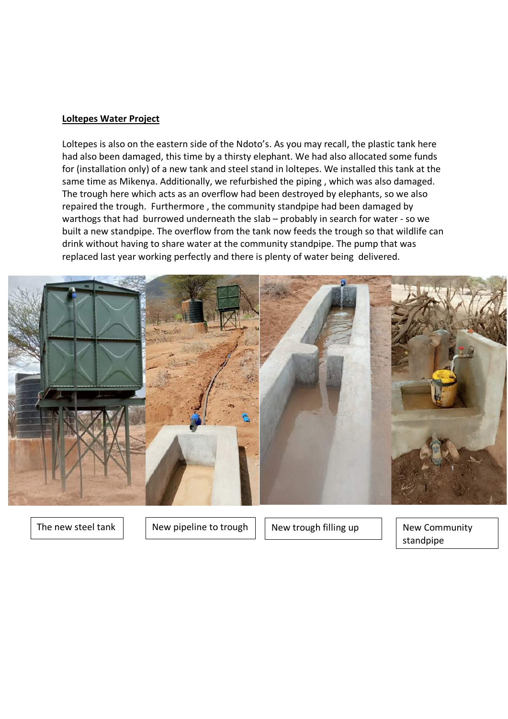#### **Loltepes Water Project**

Loltepes is also on the eastern side of the Ndoto's. As you may recall, the plastic tank here had also been damaged, this time by a thirsty elephant. We had also allocated some funds for (installation only) of a new tank and steel stand in loltepes. We installed this tank at the same time as Mikenya. Additionally, we refurbished the piping , which was also damaged. The trough here which acts as an overflow had been destroyed by elephants, so we also repaired the trough. Furthermore , the community standpipe had been damaged by warthogs that had burrowed underneath the slab – probably in search for water - so we built a new standpipe. The overflow from the tank now feeds the trough so that wildlife can drink without having to share water at the community standpipe. The pump that was replaced last year working perfectly and there is plenty of water being delivered.



The new steel tank  $\vert \vert$  New pipeline to trough  $\vert \vert$  New trough filling up  $\vert \vert$  New Community

standpipe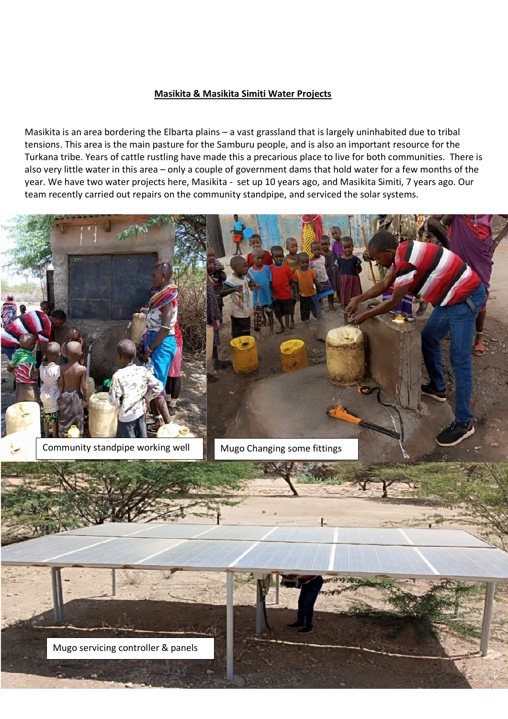#### **Masikita & Masikita Simiti Water Projects**

Masikita is an area bordering the Elbarta plains – a vast grassland that is largely uninhabited due to tribal tensions. This area is the main pasture for the Samburu people, and is also an important resource for the Turkana tribe. Years of cattle rustling have made this a precarious place to live for both communities. There is also very little water in this area – only a couple of government dams that hold water for a few months of the year. We have two water projects here, Masikita - set up 10 years ago, and Masikita Simiti, 7 years ago. Our team recently carried out repairs on the community standpipe, and serviced the solar systems.